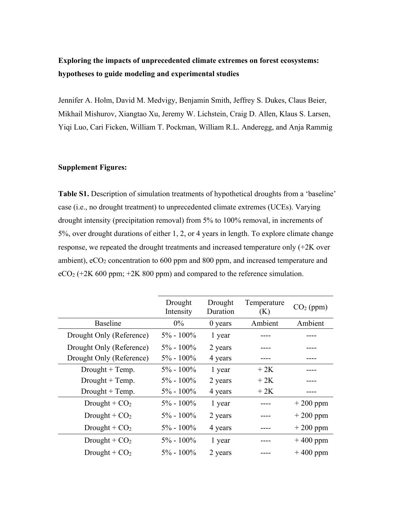# **Exploring the impacts of unprecedented climate extremes on forest ecosystems: hypotheses to guide modeling and experimental studies**

Jennifer A. Holm, David M. Medvigy, Benjamin Smith, Jeffrey S. Dukes, Claus Beier, Mikhail Mishurov, Xiangtao Xu, Jeremy W. Lichstein, Craig D. Allen, Klaus S. Larsen, Yiqi Luo, Cari Ficken, William T. Pockman, William R.L. Anderegg, and Anja Rammig

### **Supplement Figures:**

**Table S1.** Description of simulation treatments of hypothetical droughts from a 'baseline' case (i.e., no drought treatment) to unprecedented climate extremes (UCEs). Varying drought intensity (precipitation removal) from 5% to 100% removal, in increments of 5%, over drought durations of either 1, 2, or 4 years in length. To explore climate change response, we repeated the drought treatments and increased temperature only (+2K over ambient),  $eCO<sub>2</sub>$  concentration to 600 ppm and 800 ppm, and increased temperature and  $eCO<sub>2</sub>$  (+2K 600 ppm; +2K 800 ppm) and compared to the reference simulation.

|                          | Drought<br>Intensity | Drought<br>Duration | Temperature<br>(K) | $CO2$ (ppm) |
|--------------------------|----------------------|---------------------|--------------------|-------------|
| <b>Baseline</b>          | $0\%$                | $0$ years           | Ambient            | Ambient     |
| Drought Only (Reference) | $5\% - 100\%$        | 1 year              |                    |             |
| Drought Only (Reference) | $5\% - 100\%$        | 2 years             |                    |             |
| Drought Only (Reference) | $5\% - 100\%$        | 4 years             |                    |             |
| Drought $+$ Temp.        | $5\% - 100\%$        | 1 year              | $+2K$              |             |
| Drought $+$ Temp.        | $5\% - 100\%$        | 2 years             | $+2K$              |             |
| $Drought + Temp.$        | $5\% - 100\%$        | 4 years             | $+2K$              |             |
| Drought + $CO2$          | $5\% - 100\%$        | 1 year              |                    | $+200$ ppm  |
| Drought + $CO2$          | $5\% - 100\%$        | 2 years             |                    | $+200$ ppm  |
| Drought + $CO2$          | $5\% - 100\%$        | 4 years             |                    | $+200$ ppm  |
| Drought + $CO2$          | $5\% - 100\%$        | 1 year              |                    | $+400$ ppm  |
| Drought + $CO2$          | $5\% - 100\%$        | 2 years             |                    | $+400$ ppm  |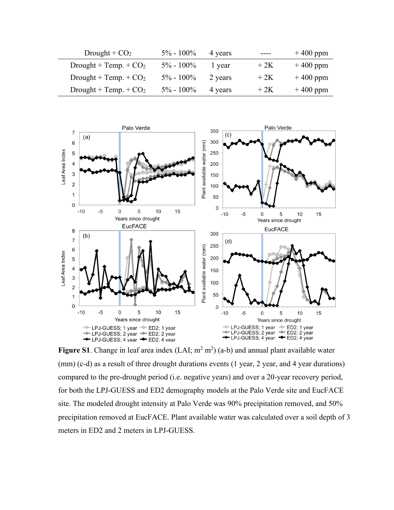| Drought + $CO2$         | $5\% - 100\%$ | 4 years | ----  | $+400$ ppm |
|-------------------------|---------------|---------|-------|------------|
| Drought + Temp. + $CO2$ | $5\% - 100\%$ | l vear  | $+2K$ | $+400$ ppm |
| Drought + Temp. + $CO2$ | $5\% - 100\%$ | 2 years | $+2K$ | $+400$ ppm |
| Drought + Temp. + $CO2$ | $5\% - 100\%$ | 4 years | $+2K$ | $+400$ ppm |



**Figure S1**. Change in leaf area index  $(LAI; m^2 m^2)$  (a-b) and annual plant available water (mm) (c-d) as a result of three drought durations events (1 year, 2 year, and 4 year durations) compared to the pre-drought period (i.e. negative years) and over a 20-year recovery period, for both the LPJ-GUESS and ED2 demography models at the Palo Verde site and EucFACE site. The modeled drought intensity at Palo Verde was 90% precipitation removed, and 50% precipitation removed at EucFACE. Plant available water was calculated over a soil depth of 3 meters in ED2 and 2 meters in LPJ-GUESS.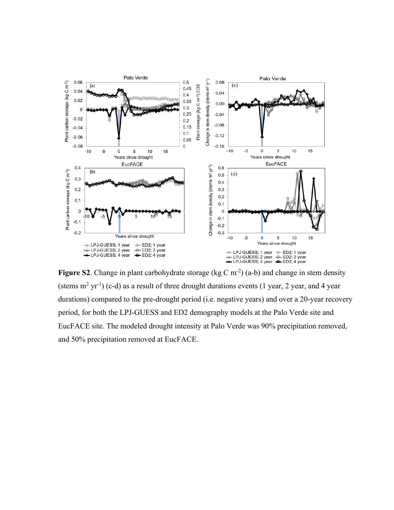

Figure S2. Change in plant carbohydrate storage (kg C m<sup>-2</sup>) (a-b) and change in stem density (stems  $m^2$  yr<sup>-1</sup>) (c-d) as a result of three drought durations events (1 year, 2 year, and 4 year durations) compared to the pre-drought period (i.e. negative years) and over a 20-year recovery period, for both the LPJ-GUESS and ED2 demography models at the Palo Verde site and EucFACE site. The modeled drought intensity at Palo Verde was 90% precipitation removed, and 50% precipitation removed at EucFACE.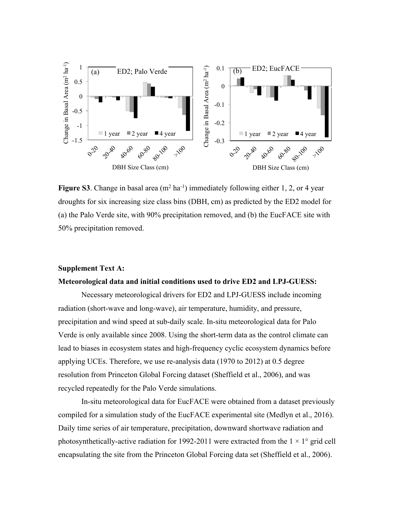

**Figure S3**. Change in basal area  $(m^2 \text{ ha}^{-1})$  immediately following either 1, 2, or 4 year droughts for six increasing size class bins (DBH, cm) as predicted by the ED2 model for (a) the Palo Verde site, with 90% precipitation removed, and (b) the EucFACE site with 50% precipitation removed.

### **Supplement Text A:**

#### **Meteorological data and initial conditions used to drive ED2 and LPJ-GUESS:**

Necessary meteorological drivers for ED2 and LPJ-GUESS include incoming radiation (short-wave and long-wave), air temperature, humidity, and pressure, precipitation and wind speed at sub-daily scale. In-situ meteorological data for Palo Verde is only available since 2008. Using the short-term data as the control climate can lead to biases in ecosystem states and high-frequency cyclic ecosystem dynamics before applying UCEs. Therefore, we use re-analysis data (1970 to 2012) at 0.5 degree resolution from Princeton Global Forcing dataset (Sheffield et al., 2006), and was recycled repeatedly for the Palo Verde simulations.

In-situ meteorological data for EucFACE were obtained from a dataset previously compiled for a simulation study of the EucFACE experimental site (Medlyn et al., 2016). Daily time series of air temperature, precipitation, downward shortwave radiation and photosynthetically-active radiation for 1992-2011 were extracted from the  $1 \times 1^{\circ}$  grid cell encapsulating the site from the Princeton Global Forcing data set (Sheffield et al., 2006).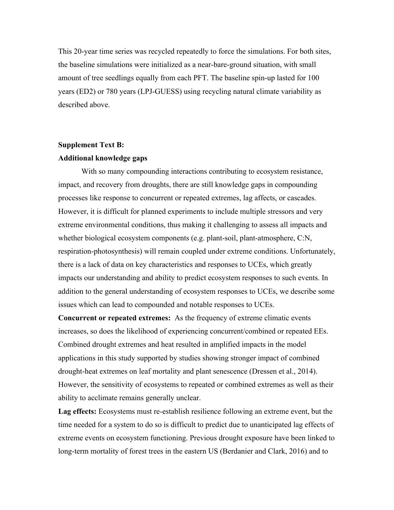This 20-year time series was recycled repeatedly to force the simulations. For both sites, the baseline simulations were initialized as a near-bare-ground situation, with small amount of tree seedlings equally from each PFT. The baseline spin-up lasted for 100 years (ED2) or 780 years (LPJ-GUESS) using recycling natural climate variability as described above.

# **Supplement Text B: Additional knowledge gaps**

With so many compounding interactions contributing to ecosystem resistance, impact, and recovery from droughts, there are still knowledge gaps in compounding processes like response to concurrent or repeated extremes, lag affects, or cascades. However, it is difficult for planned experiments to include multiple stressors and very extreme environmental conditions, thus making it challenging to assess all impacts and whether biological ecosystem components (e.g. plant-soil, plant-atmosphere, C:N, respiration-photosynthesis) will remain coupled under extreme conditions. Unfortunately, there is a lack of data on key characteristics and responses to UCEs, which greatly impacts our understanding and ability to predict ecosystem responses to such events. In addition to the general understanding of ecosystem responses to UCEs, we describe some issues which can lead to compounded and notable responses to UCEs.

**Concurrent or repeated extremes:** As the frequency of extreme climatic events increases, so does the likelihood of experiencing concurrent/combined or repeated EEs. Combined drought extremes and heat resulted in amplified impacts in the model applications in this study supported by studies showing stronger impact of combined drought-heat extremes on leaf mortality and plant senescence (Dressen et al., 2014). However, the sensitivity of ecosystems to repeated or combined extremes as well as their ability to acclimate remains generally unclear.

**Lag effects:** Ecosystems must re-establish resilience following an extreme event, but the time needed for a system to do so is difficult to predict due to unanticipated lag effects of extreme events on ecosystem functioning. Previous drought exposure have been linked to long-term mortality of forest trees in the eastern US (Berdanier and Clark, 2016) and to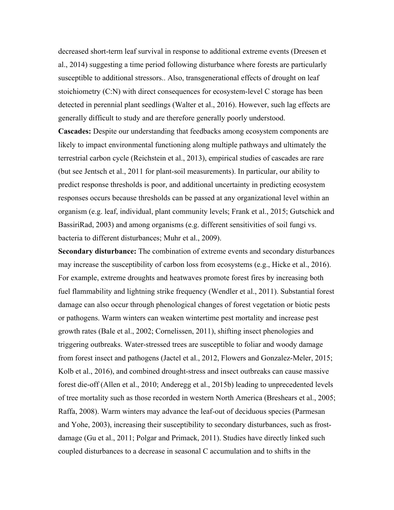decreased short-term leaf survival in response to additional extreme events (Dreesen et al., 2014) suggesting a time period following disturbance where forests are particularly susceptible to additional stressors.. Also, transgenerational effects of drought on leaf stoichiometry (C:N) with direct consequences for ecosystem-level C storage has been detected in perennial plant seedlings (Walter et al., 2016). However, such lag effects are generally difficult to study and are therefore generally poorly understood.

**Cascades:** Despite our understanding that feedbacks among ecosystem components are likely to impact environmental functioning along multiple pathways and ultimately the terrestrial carbon cycle (Reichstein et al., 2013), empirical studies of cascades are rare (but see Jentsch et al., 2011 for plant-soil measurements). In particular, our ability to predict response thresholds is poor, and additional uncertainty in predicting ecosystem responses occurs because thresholds can be passed at any organizational level within an organism (e.g. leaf, individual, plant community levels; Frank et al., 2015; Gutschick and BassiriRad, 2003) and among organisms (e.g. different sensitivities of soil fungi vs. bacteria to different disturbances; Muhr et al., 2009).

**Secondary disturbance:** The combination of extreme events and secondary disturbances may increase the susceptibility of carbon loss from ecosystems (e.g., Hicke et al., 2016). For example, extreme droughts and heatwaves promote forest fires by increasing both fuel flammability and lightning strike frequency (Wendler et al., 2011). Substantial forest damage can also occur through phenological changes of forest vegetation or biotic pests or pathogens. Warm winters can weaken wintertime pest mortality and increase pest growth rates (Bale et al., 2002; Cornelissen, 2011), shifting insect phenologies and triggering outbreaks. Water-stressed trees are susceptible to foliar and woody damage from forest insect and pathogens (Jactel et al., 2012, Flowers and Gonzalez-Meler, 2015; Kolb et al., 2016), and combined drought-stress and insect outbreaks can cause massive forest die-off (Allen et al., 2010; Anderegg et al., 2015b) leading to unprecedented levels of tree mortality such as those recorded in western North America (Breshears et al., 2005; Raffa, 2008). Warm winters may advance the leaf-out of deciduous species (Parmesan and Yohe, 2003), increasing their susceptibility to secondary disturbances, such as frostdamage (Gu et al., 2011; Polgar and Primack, 2011). Studies have directly linked such coupled disturbances to a decrease in seasonal C accumulation and to shifts in the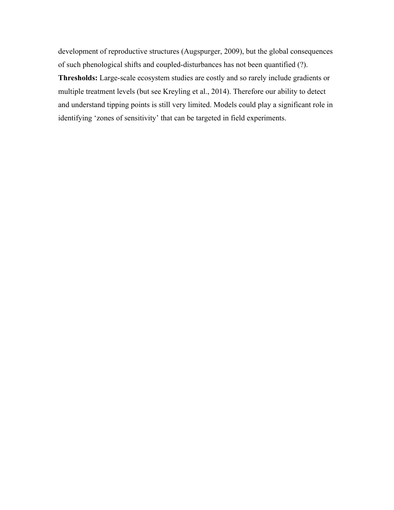development of reproductive structures (Augspurger, 2009), but the global consequences of such phenological shifts and coupled-disturbances has not been quantified (?). **Thresholds:** Large-scale ecosystem studies are costly and so rarely include gradients or multiple treatment levels (but see Kreyling et al., 2014). Therefore our ability to detect and understand tipping points is still very limited. Models could play a significant role in identifying 'zones of sensitivity' that can be targeted in field experiments.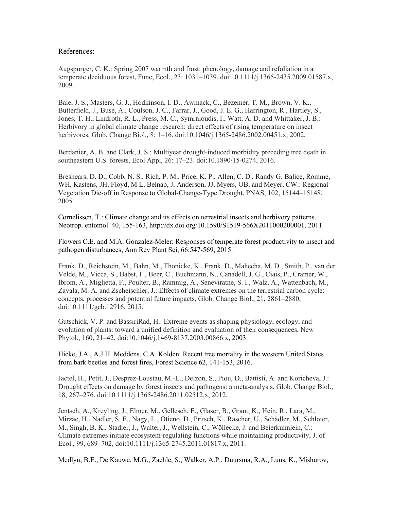#### References:

Augspurger, C. K.: Spring 2007 warmth and frost: phenology, damage and refoliation in a temperate deciduous forest, Func, Ecol., 23: 1031–1039. doi:10.1111/j.1365-2435.2009.01587.x, 2009.

Bale, J. S., Masters, G. J., Hodkinson, I. D., Awmack, C., Bezemer, T. M., Brown, V. K., Butterfield, J., Buse, A., Coulson, J. C., Farrar, J., Good, J. E. G., Harrington, R., Hartley, S., Jones, T. H., Lindroth, R. L., Press, M. C., Symrnioudis, I., Watt, A. D. and Whittaker, J. B.: Herbivory in global climate change research: direct effects of rising temperature on insect herbivores, Glob. Change Biol., 8: 1–16. doi:10.1046/j.1365-2486.2002.00451.x, 2002.

Berdanier, A. B. and Clark, J. S.: Multiyear drought-induced morbidity preceding tree death in southeastern U.S. forests, Ecol Appl, 26: 17–23. doi:10.1890/15-0274, 2016.

Breshears, D. D., Cobb, N. S., Rich, P. M., Price, K. P., Allen, C. D., Randy G. Balice, Romme, WH, Kastens, JH, Floyd, M L, Belnap, J, Anderson, JJ, Myers, OB, and Meyer, CW.: Regional Vegetation Die-off in Response to Global-Change-Type Drought, PNAS, 102, 15144–15148, 2005.

Cornelissen, T.: Climate change and its effects on terrestrial insects and herbivory patterns. Neotrop. entomol. 40, 155-163, http://dx.doi.org/10.1590/S1519-566X2011000200001, 2011.

Flowers C.E. and M.A. Gonzalez-Meler: Responses of temperate forest productivity to insect and pathogen disturbances, Ann Rev Plant Sci, 66:547-569, 2015.

Frank, D., Reichstein, M., Bahn, M., Thonicke, K., Frank, D., Mahecha, M. D., Smith, P., van der Velde, M., Vicca, S., Babst, F., Beer, C., Buchmann, N., Canadell, J. G., Ciais, P., Cramer, W., Ibrom, A., Miglietta, F., Poulter, B., Rammig, A., Seneviratne, S. I., Walz, A., Wattenbach, M., Zavala, M. A. and Zscheischler, J.: Effects of climate extremes on the terrestrial carbon cycle: concepts, processes and potential future impacts, Glob. Change Biol., 21, 2861–2880, doi:10.1111/gcb.12916, 2015.

Gutschick, V. P. and BassiriRad, H.: Extreme events as shaping physiology, ecology, and evolution of plants: toward a unified definition and evaluation of their consequences, New Phytol., 160, 21–42, doi:10.1046/j.1469-8137.2003.00866.x, 2003.

Hicke, J.A., A.J.H. Meddens, C.A. Kolden: Recent tree mortality in the western United States from bark beetles and forest fires, Forest Science 62, 141-153, 2016.

Jactel, H., Petit, J., Desprez-Loustau, M.-L., Delzon, S., Piou, D., Battisti, A. and Koricheva, J.: Drought effects on damage by forest insects and pathogens: a meta-analysis, Glob. Change Biol., 18, 267–276. doi:10.1111/j.1365-2486.2011.02512.x, 2012.

Jentsch, A., Kreyling, J., Elmer, M., Gellesch, E., Glaser, B., Grant, K., Hein, R., Lara, M., Mirzae, H., Nadler, S. E., Nagy, L., Otieno, D., Pritsch, K., Rascher, U., Schädler, M., Schloter, M., Singh, B. K., Stadler, J., Walter, J., Wellstein, C., Wöllecke, J. and Beierkuhnlein, C.: Climate extremes initiate ecosystem-regulating functions while maintaining productivity, J. of Ecol., 99, 689–702, doi:10.1111/j.1365-2745.2011.01817.x, 2011.

Medlyn, B.E., De Kauwe, M.G., Zaehle, S., Walker, A.P., Duursma, R.A., Luus, K., Mishurov,